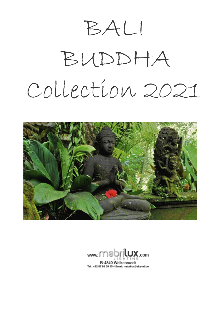BALI

## BUDDHA Collection 2021



məbr www. B-4840 Welkenraedt Tel.: +32 87 88 39 15 . Email: mabrilux@skynet.be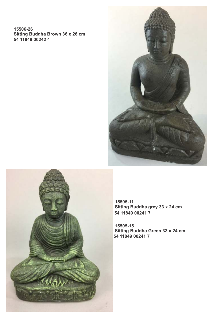**15506-26 Sitting Buddha Brown 36 x 26 cm 54 11849 00242 4**





**15505-11 Sitting Buddha grey 33 x 24 cm 54 11849 00241 7**

**15505-15 Sitting Buddha Green 33 x 24 cm 54 11849 00241 7**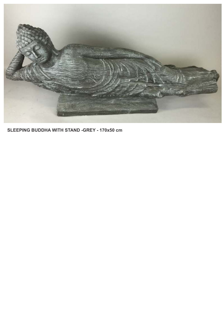

**SLEEPING BUDDHA WITH STAND -GREY - 170x50 cm**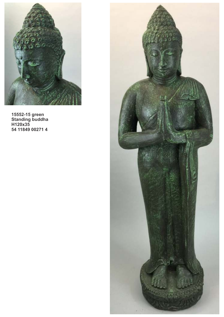

**15552-15 green Standing buddha H120x35 54 11849 00271 4**

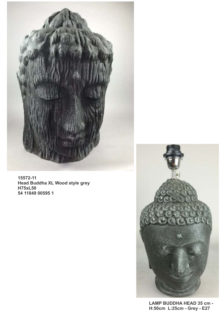

**15572-11 Head Buddha XL Wood style grey H75xL50 54 11849 00595 1**



**LAMP BUDDHA HEAD 35 cm - H:50cm L:25cm - Grey - E27**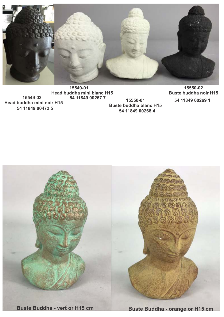

**15549-01 Head buddha mini blanc H15 15549-02 Head buddha mini noir H15 54 11849 00472 5 54 11849 00267 7**

**15550-01 Buste buddha blanc H15 54 11849 00268 4**

**15550-02 Buste buddha noir H15 54 11849 00269 1**



**Buste Buddha - vert or H15 cm Buste Buddha - orange or H15 cm**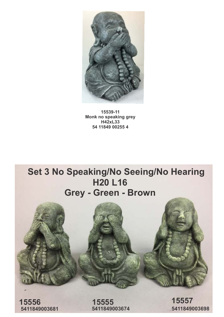

**15539-11 Monk no speaking grey H42xL33 54 11849 00255 4**

## **Set 3 No Speaking/No Seeing/No Hearing H20 L16 Grey - Green - Brown**



**15556 15555 15557**

**5411849003681 5411849003674 5411849003698**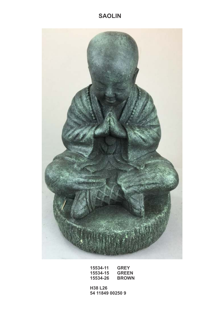## **SAOLIN**



| 15534-11 | <b>GREY</b>  |
|----------|--------------|
| 15534-15 | <b>GREEN</b> |
| 15534-26 | <b>BROWN</b> |

**H38 L26 54 11849 00250 9**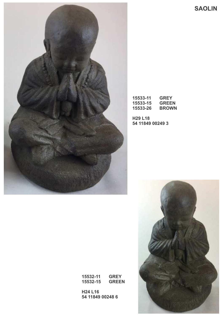**SAOLIN**



| 15533-11 | <b>GREY</b>  |
|----------|--------------|
| 15533-15 | <b>GREEN</b> |
| 15533-26 | <b>BROWN</b> |

**H29 L18 54 11849 00249 3**



**15532-11 GREY 15532-15 GREEN**

**H24 L16 54 11849 00248 6**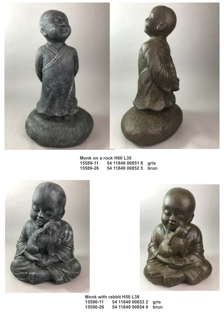

**Monk on a rock H60 L35 15589-11 54 11849 00851 8 gris 15589-26 54 11849 00852 5 brun**





**Monk with rabbit H50 L38 15590-11 54 11849 00853 2 gris 15590-26 54 11849 00854 9 brun**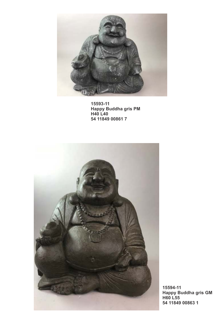

**15593-11 Happy Buddha gris PM H40 L40 54 11849 00861 7**



**15594-11 Happy Buddha gris GM H60 L55 54 11849 00863 1**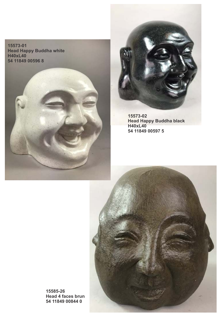**15573-01 Head Happy Buddha white H40xL40 54 11849 00596 8**



**15573-02 Head Happy Buddha black H40xL40 54 11849 00597 5**



**15585-26 Head 4 faces brun 54 11849 00844 0**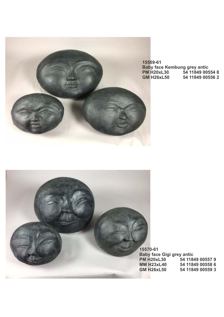

**15569-61 Baby face Kembung grey antic PM H20xL30 54 11849 00554 8 GM H26xL50 54 11849 00556 2**



**Baby face Gigi grey antic PM H20xL30** 54 11849 00557 9<br>MM H23xL40 54 11849 00558 6 **MM H23xL40 54 11849 00558 6 GM H26xL50 54 11849 00559 3**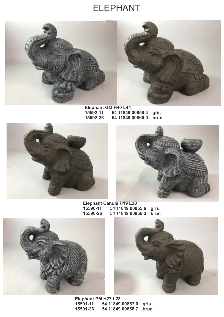## ELEPHANT





**Elephant GM H40 L44 15592-11 54 11849 00859 4 gris 15592-26 54 11849 00860 0 brun**





**Elephant Candle H19 L20 15596-11 54 11849 00855 6 gris 15596-26 54 11849 00856 3 brun**





**Elephant PM H27 L28 15591-11 54 11849 00857 0 gris 15591-26 54 11849 00858 7 brun**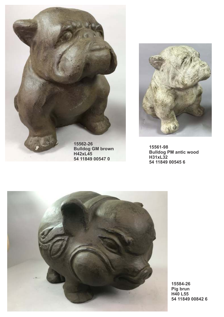

**H42xL45 54 11849 00547 0**



**15561-98 Bulldog PM antic wood H31xL32 54 11849 00545 6**



**15584-26 Pig brun H40 L55 54 11849 00842 6**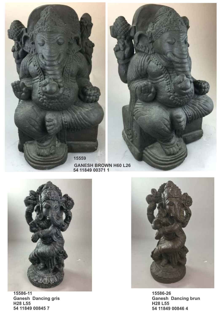



**GANESH BROWN H60 L26 54 11849 00371 1**



**15586-11 Ganesh Dancing gris H28 L55 54 11849 00845 7**



**15586-26 Ganesh Dancing brun H28 L55 54 11849 00846 4**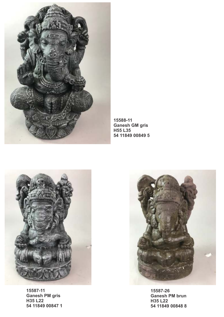

**15588-11 Ganesh GM gris H55 L35 54 11849 00849 5** 



**15587-11 Ganesh PM gris H35 L22 54 11849 00847 1** 



**15587-26 Ganesh PM brun H35 L22 54 11849 00848 8**